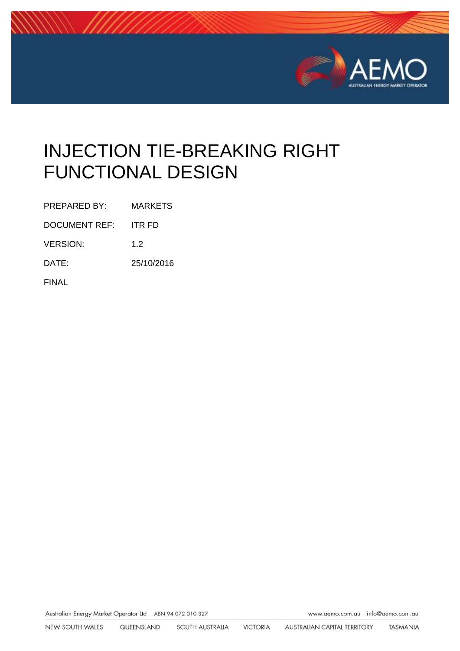

# INJECTION TIE-BREAKING RIGHT FUNCTIONAL DESIGN

PREPARED BY: MARKETS

DOCUMENT REF: ITR FD

VERSION: 1.2

DATE: 25/10/2016

FINAL

Australian Energy Market Operator Ltd ABN 94 072 010 327

www.aemo.com.au info@aemo.com.au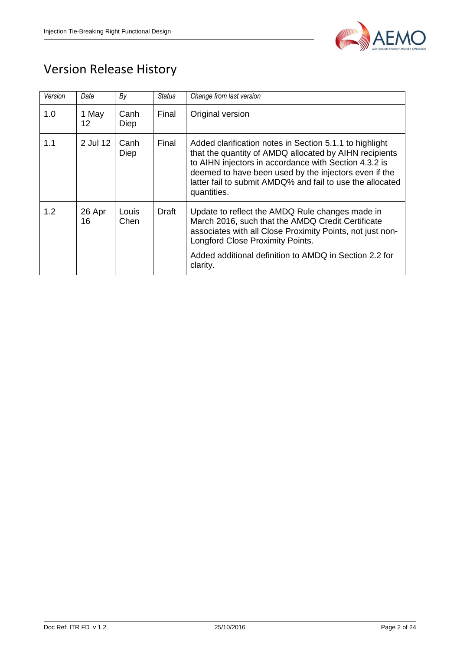

## Version Release History

| Version | Date         | By                  | Status | Change from last version                                                                                                                                                                                                                                                                                        |
|---------|--------------|---------------------|--------|-----------------------------------------------------------------------------------------------------------------------------------------------------------------------------------------------------------------------------------------------------------------------------------------------------------------|
| 1.0     | 1 May<br>12  | Canh<br><b>Diep</b> | Final  | Original version                                                                                                                                                                                                                                                                                                |
| 1.1     | 2 Jul 12     | Canh<br>Diep        | Final  | Added clarification notes in Section 5.1.1 to highlight<br>that the quantity of AMDQ allocated by AIHN recipients<br>to AIHN injectors in accordance with Section 4.3.2 is<br>deemed to have been used by the injectors even if the<br>latter fail to submit AMDQ% and fail to use the allocated<br>quantities. |
| 1.2     | 26 Apr<br>16 | Louis<br>Chen       | Draft  | Update to reflect the AMDQ Rule changes made in<br>March 2016, such that the AMDQ Credit Certificate<br>associates with all Close Proximity Points, not just non-<br>Longford Close Proximity Points.<br>Added additional definition to AMDQ in Section 2.2 for<br>clarity.                                     |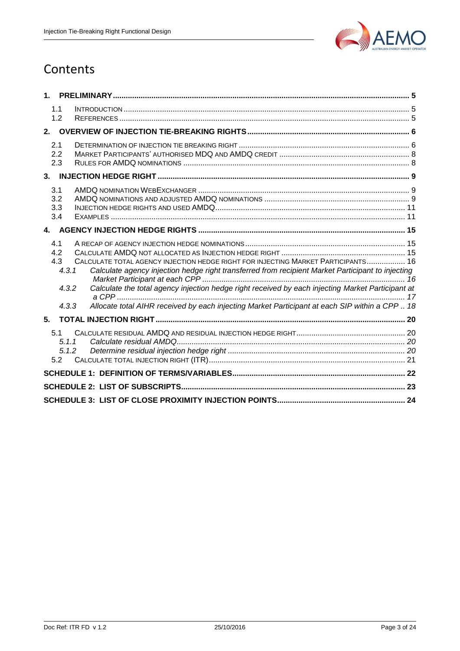

## **Contents**

| 1.             |                                     |                                                                                                                                                                                                                                                                                             |  |
|----------------|-------------------------------------|---------------------------------------------------------------------------------------------------------------------------------------------------------------------------------------------------------------------------------------------------------------------------------------------|--|
|                | 1.1<br>1.2                          |                                                                                                                                                                                                                                                                                             |  |
| 2 <sub>1</sub> |                                     |                                                                                                                                                                                                                                                                                             |  |
|                | 2.1<br>2.2<br>2.3                   |                                                                                                                                                                                                                                                                                             |  |
| 3 <sub>l</sub> |                                     |                                                                                                                                                                                                                                                                                             |  |
|                | 3.1<br>3.2<br>3.3<br>3.4            |                                                                                                                                                                                                                                                                                             |  |
|                |                                     |                                                                                                                                                                                                                                                                                             |  |
|                | 4.1<br>4.2<br>4.3<br>4.3.1<br>4.3.2 | CALCULATE TOTAL AGENCY INJECTION HEDGE RIGHT FOR INJECTING MARKET PARTICIPANTS 16<br>Calculate agency injection hedge right transferred from recipient Market Participant to injecting<br>Calculate the total agency injection hedge right received by each injecting Market Participant at |  |
|                | 4.3.3                               | Allocate total AIHR received by each injecting Market Participant at each SIP within a CPP  18                                                                                                                                                                                              |  |
| 5 <sub>1</sub> |                                     |                                                                                                                                                                                                                                                                                             |  |
|                | 5.1<br>5.1.1<br>5.1.2<br>5.2        |                                                                                                                                                                                                                                                                                             |  |
|                |                                     |                                                                                                                                                                                                                                                                                             |  |
|                |                                     |                                                                                                                                                                                                                                                                                             |  |
|                |                                     |                                                                                                                                                                                                                                                                                             |  |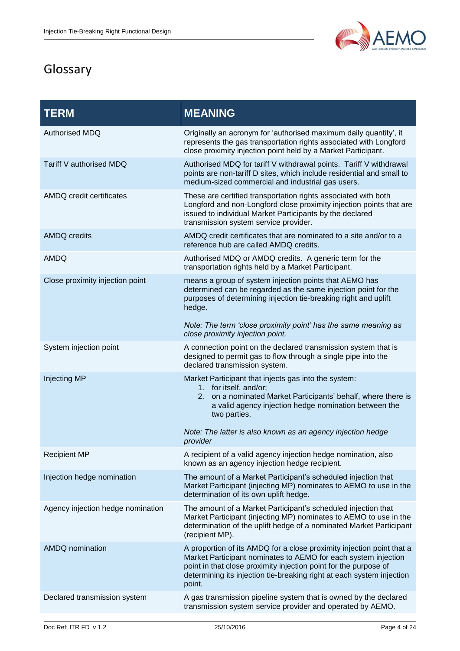

## Glossary

| <b>TERM</b>                       | <b>MEANING</b>                                                                                                                                                                                                                                                                                 |
|-----------------------------------|------------------------------------------------------------------------------------------------------------------------------------------------------------------------------------------------------------------------------------------------------------------------------------------------|
| <b>Authorised MDQ</b>             | Originally an acronym for 'authorised maximum daily quantity', it<br>represents the gas transportation rights associated with Longford<br>close proximity injection point held by a Market Participant.                                                                                        |
| Tariff V authorised MDQ           | Authorised MDQ for tariff V withdrawal points. Tariff V withdrawal<br>points are non-tariff D sites, which include residential and small to<br>medium-sized commercial and industrial gas users.                                                                                               |
| AMDQ credit certificates          | These are certified transportation rights associated with both<br>Longford and non-Longford close proximity injection points that are<br>issued to individual Market Participants by the declared<br>transmission system service provider.                                                     |
| <b>AMDQ credits</b>               | AMDQ credit certificates that are nominated to a site and/or to a<br>reference hub are called AMDQ credits.                                                                                                                                                                                    |
| <b>AMDQ</b>                       | Authorised MDQ or AMDQ credits. A generic term for the<br>transportation rights held by a Market Participant.                                                                                                                                                                                  |
| Close proximity injection point   | means a group of system injection points that AEMO has<br>determined can be regarded as the same injection point for the<br>purposes of determining injection tie-breaking right and uplift<br>hedge.                                                                                          |
|                                   | Note: The term 'close proximity point' has the same meaning as<br>close proximity injection point.                                                                                                                                                                                             |
| System injection point            | A connection point on the declared transmission system that is<br>designed to permit gas to flow through a single pipe into the<br>declared transmission system.                                                                                                                               |
| Injecting MP                      | Market Participant that injects gas into the system:<br>1. for itself, and/or;<br>on a nominated Market Participants' behalf, where there is<br>2.<br>a valid agency injection hedge nomination between the<br>two parties.                                                                    |
|                                   | Note: The latter is also known as an agency injection hedge<br>provider                                                                                                                                                                                                                        |
| <b>Recipient MP</b>               | A recipient of a valid agency injection hedge nomination, also<br>known as an agency injection hedge recipient.                                                                                                                                                                                |
| Injection hedge nomination        | The amount of a Market Participant's scheduled injection that<br>Market Participant (injecting MP) nominates to AEMO to use in the<br>determination of its own uplift hedge.                                                                                                                   |
| Agency injection hedge nomination | The amount of a Market Participant's scheduled injection that<br>Market Participant (injecting MP) nominates to AEMO to use in the<br>determination of the uplift hedge of a nominated Market Participant<br>(recipient MP).                                                                   |
| <b>AMDQ</b> nomination            | A proportion of its AMDQ for a close proximity injection point that a<br>Market Participant nominates to AEMO for each system injection<br>point in that close proximity injection point for the purpose of<br>determining its injection tie-breaking right at each system injection<br>point. |
| Declared transmission system      | A gas transmission pipeline system that is owned by the declared<br>transmission system service provider and operated by AEMO.                                                                                                                                                                 |
|                                   |                                                                                                                                                                                                                                                                                                |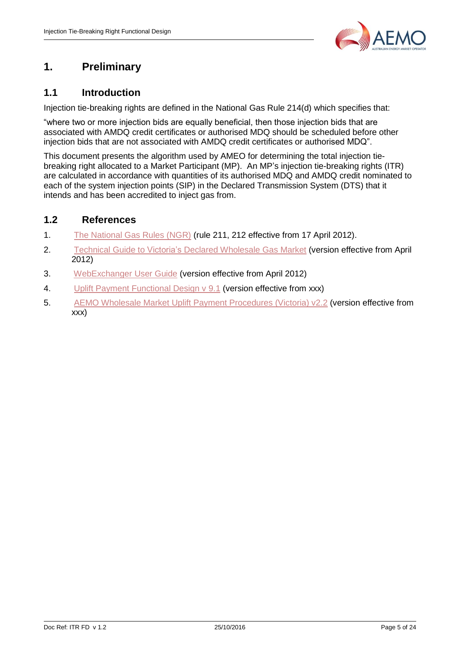

### <span id="page-4-0"></span>**1. Preliminary**

#### <span id="page-4-1"></span>**1.1 Introduction**

Injection tie-breaking rights are defined in the National Gas Rule 214(d) which specifies that:

"where two or more injection bids are equally beneficial, then those injection bids that are associated with AMDQ credit certificates or authorised MDQ should be scheduled before other injection bids that are not associated with AMDQ credit certificates or authorised MDQ".

This document presents the algorithm used by AMEO for determining the total injection tiebreaking right allocated to a Market Participant (MP). An MP's injection tie-breaking rights (ITR) are calculated in accordance with quantities of its authorised MDQ and AMDQ credit nominated to each of the system injection points (SIP) in the Declared Transmission System (DTS) that it intends and has been accredited to inject gas from.

#### <span id="page-4-2"></span>**1.2 References**

- 1. [The National Gas Rules \(NGR\)](http://aemc.gov.au/Gas/Rule-changes/Completed/Various-Hedging-Instruments-in-the-Declared-Wholesale-Gas-Market.html) (rule 211, 212 effective from 17 April 2012).
- 2. [Technical Guide to Victoria's Declared Wholesale Gas Market](http://www.aemo.com.au/corporate/publications.html) (version effective from April 2012)
- 3. [WebExchanger User Guide](http://www.aemo.com.au/vicwholesalegas/vicguidesforms.html) (version effective from April 2012)
- 4. [Uplift Payment Functional Design v 9.1](http://www.aemo.com.au/vicwholesalegas/vicmeteringsetts.html) (version effective from xxx)
- 5. [AEMO Wholesale Market Uplift Payment Procedures \(Victoria\) v2.2](http://www.aemo.com.au/vicwholesalegas/vicgasrules.html) (version effective from xxx)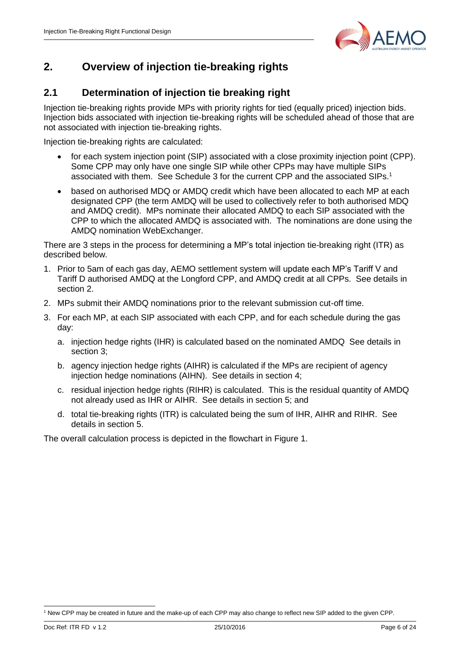

### <span id="page-5-0"></span>**2. Overview of injection tie-breaking rights**

#### <span id="page-5-1"></span>**2.1 Determination of injection tie breaking right**

Injection tie-breaking rights provide MPs with priority rights for tied (equally priced) injection bids. Injection bids associated with injection tie-breaking rights will be scheduled ahead of those that are not associated with injection tie-breaking rights.

Injection tie-breaking rights are calculated:

- for each system injection point (SIP) associated with a close proximity injection point (CPP). Some CPP may only have one single SIP while other CPPs may have multiple SIPs associated with them. See Schedule 3 for the current CPP and the associated SIPs.<sup>1</sup>
- based on authorised MDQ or AMDQ credit which have been allocated to each MP at each designated CPP (the term AMDQ will be used to collectively refer to both authorised MDQ and AMDQ credit). MPs nominate their allocated AMDQ to each SIP associated with the CPP to which the allocated AMDQ is associated with. The nominations are done using the AMDQ nomination WebExchanger.

There are 3 steps in the process for determining a MP's total injection tie-breaking right (ITR) as described below.

- 1. Prior to 5am of each gas day, AEMO settlement system will update each MP's Tariff V and Tariff D authorised AMDQ at the Longford CPP, and AMDQ credit at all CPPs. See details in section 2.
- 2. MPs submit their AMDQ nominations prior to the relevant submission cut-off time.
- 3. For each MP, at each SIP associated with each CPP, and for each schedule during the gas day:
	- a. injection hedge rights (IHR) is calculated based on the nominated AMDQ See details in section 3;
	- b. agency injection hedge rights (AIHR) is calculated if the MPs are recipient of agency injection hedge nominations (AIHN). See details in section 4;
	- c. residual injection hedge rights (RIHR) is calculated. This is the residual quantity of AMDQ not already used as IHR or AIHR. See details in section 5; and
	- d. total tie-breaking rights (ITR) is calculated being the sum of IHR, AIHR and RIHR. See details in section 5.

The overall calculation process is depicted in the flowchart in Figure 1.

<sup>1</sup> <sup>1</sup> New CPP may be created in future and the make-up of each CPP may also change to reflect new SIP added to the given CPP.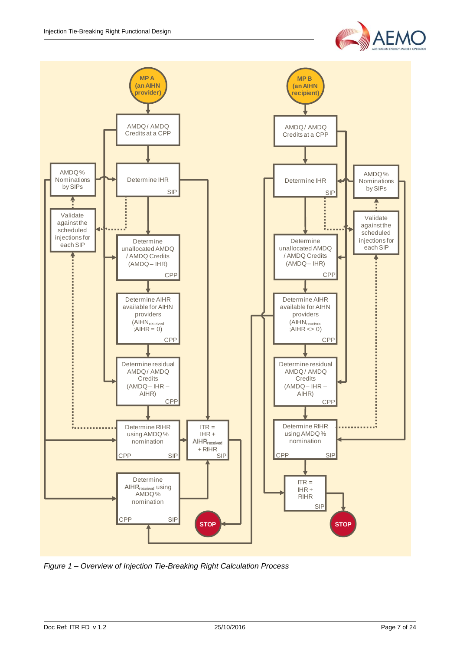



*Figure 1 – Overview of Injection Tie-Breaking Right Calculation Process*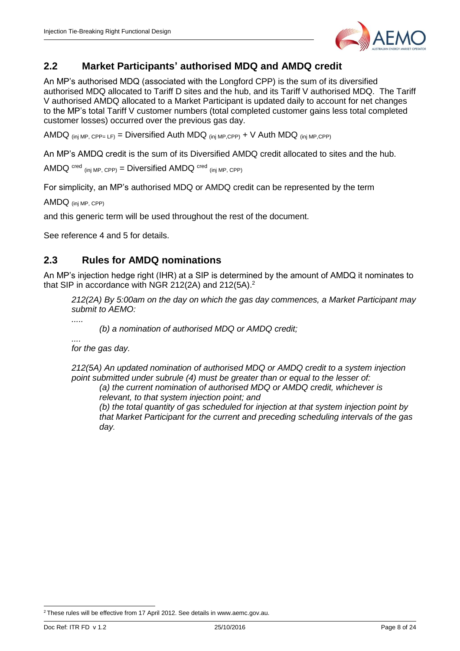

#### <span id="page-7-0"></span>**2.2 Market Participants' authorised MDQ and AMDQ credit**

An MP's authorised MDQ (associated with the Longford CPP) is the sum of its diversified authorised MDQ allocated to Tariff D sites and the hub, and its Tariff V authorised MDQ. The Tariff V authorised AMDQ allocated to a Market Participant is updated daily to account for net changes to the MP's total Tariff V customer numbers (total completed customer gains less total completed customer losses) occurred over the previous gas day.

AMDQ  $_{(ini MP. CPP= LF)}$  = Diversified Auth MDQ  $_{(ini MP. CPP)}$  + V Auth MDQ  $_{(ini MP. CPP)}$ 

An MP's AMDQ credit is the sum of its Diversified AMDQ credit allocated to sites and the hub.

AMDQ  $\text{cred}_{\text{(ini MP. CPP)}} = \text{Diversified AMDQ} \text{cred}_{\text{(ini MP. CPP)}}$ 

For simplicity, an MP's authorised MDQ or AMDQ credit can be represented by the term

AMDQ (inj MP, CPP)

and this generic term will be used throughout the rest of the document.

See reference 4 and 5 for details.

#### <span id="page-7-1"></span>**2.3 Rules for AMDQ nominations**

An MP's injection hedge right (IHR) at a SIP is determined by the amount of AMDQ it nominates to that SIP in accordance with NGR 212(2A) and 212(5A).<sup>2</sup>

*212(2A) By 5:00am on the day on which the gas day commences, a Market Participant may submit to AEMO:*

*(b) a nomination of authorised MDQ or AMDQ credit;*

*....*

*for the gas day.*

*212(5A) An updated nomination of authorised MDQ or AMDQ credit to a system injection point submitted under subrule (4) must be greater than or equal to the lesser of:*

*(a) the current nomination of authorised MDQ or AMDQ credit, whichever is relevant, to that system injection point; and*

*(b) the total quantity of gas scheduled for injection at that system injection point by that Market Participant for the current and preceding scheduling intervals of the gas day.*

1

 $2$  These rules will be effective from 17 April 2012. See details in www.aemc.gov.au.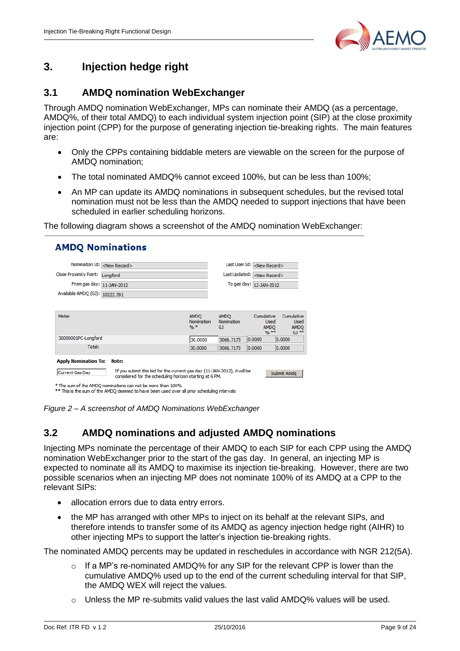

### <span id="page-8-0"></span>**3. Injection hedge right**

#### <span id="page-8-1"></span>**3.1 AMDQ nomination WebExchanger**

Through AMDQ nomination WebExchanger, MPs can nominate their AMDQ (as a percentage, AMDQ%, of their total AMDQ) to each individual system injection point (SIP) at the close proximity injection point (CPP) for the purpose of generating injection tie-breaking rights. The main features are:

- Only the CPPs containing biddable meters are viewable on the screen for the purpose of AMDQ nomination;
- The total nominated AMDQ% cannot exceed 100%, but can be less than 100%;
- An MP can update its AMDQ nominations in subsequent schedules, but the revised total nomination must not be less than the AMDQ needed to support injections that have been scheduled in earlier scheduling horizons.

The following diagram shows a screenshot of the AMDQ nomination WebExchanger:

| Nomination Id:                                 |                                                                                                                                                                                                             |                                    | Last User Id:                    |                                                      |                                                     |  |
|------------------------------------------------|-------------------------------------------------------------------------------------------------------------------------------------------------------------------------------------------------------------|------------------------------------|----------------------------------|------------------------------------------------------|-----------------------------------------------------|--|
|                                                | <new record=""></new>                                                                                                                                                                                       |                                    |                                  | <new record=""></new>                                |                                                     |  |
| <b>Close Proximity Point:</b>                  | Longford                                                                                                                                                                                                    |                                    | Last Updated:                    | <new record=""></new>                                |                                                     |  |
| From gas day: 11-JAN-2012                      |                                                                                                                                                                                                             |                                    | To gas day: 12-JAN-2012          |                                                      |                                                     |  |
| Available AMDQ (GJ): 10222.391                 |                                                                                                                                                                                                             |                                    |                                  |                                                      |                                                     |  |
| Meter                                          |                                                                                                                                                                                                             | <b>AMDO</b><br>Nomination<br>$96*$ | <b>AMDO</b><br>Nomination<br>GJ. | Cumulative<br><b>Used</b><br><b>AMDO</b><br>$9/6$ ** | Cumulative<br><b>Used</b><br><b>AMDO</b><br>$GJ$ ** |  |
| 30000001PC-Longford                            |                                                                                                                                                                                                             | 30.0000                            | 3066.7173                        | 0.0000                                               | 0.0000                                              |  |
| Total:                                         |                                                                                                                                                                                                             | 30.0000                            | 3066,7173                        | 0.0000                                               | 0.0000                                              |  |
| <b>Apply Nomination To:</b><br>Current Gas Day | Note:<br>If you submit this bid for the current gas day (11-JAN-2012), it will be<br>considered for the scheduling horizon starting at 6 PM.<br>* The sum of the AMDO nominations can not be more than 100% |                                    |                                  |                                                      | Submit Amda                                         |  |

<span id="page-8-2"></span>*Figure 2 – A screenshot of AMDQ Nominations WebExchanger*

#### **3.2 AMDQ nominations and adjusted AMDQ nominations**

Injecting MPs nominate the percentage of their AMDQ to each SIP for each CPP using the AMDQ nomination WebExchanger prior to the start of the gas day. In general, an injecting MP is expected to nominate all its AMDQ to maximise its injection tie-breaking. However, there are two possible scenarios when an injecting MP does not nominate 100% of its AMDQ at a CPP to the relevant SIPs:

- allocation errors due to data entry errors.
- the MP has arranged with other MPs to inject on its behalf at the relevant SIPs, and therefore intends to transfer some of its AMDQ as agency injection hedge right (AIHR) to other injecting MPs to support the latter's injection tie-breaking rights.

The nominated AMDQ percents may be updated in reschedules in accordance with NGR 212(5A).

- $\circ$  If a MP's re-nominated AMDQ% for any SIP for the relevant CPP is lower than the cumulative AMDQ% used up to the end of the current scheduling interval for that SIP, the AMDQ WEX will reject the values.
- $\circ$  Unless the MP re-submits valid values the last valid AMDQ% values will be used.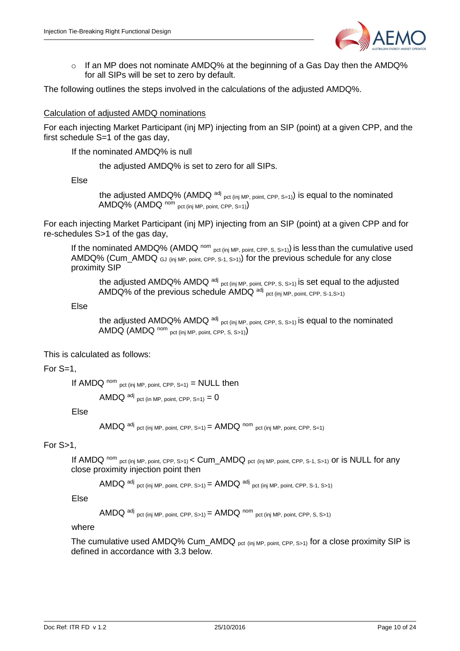

 $\circ$  If an MP does not nominate AMDQ% at the beginning of a Gas Day then the AMDQ% for all SIPs will be set to zero by default.

The following outlines the steps involved in the calculations of the adjusted AMDQ%.

#### Calculation of adjusted AMDQ nominations

For each injecting Market Participant (inj MP) injecting from an SIP (point) at a given CPP, and the first schedule S=1 of the gas day,

If the nominated AMDQ% is null

the adjusted AMDQ% is set to zero for all SIPs.

Else

the adjusted AMDQ% (AMDQ <sup>adj</sup> pct (inj MP, point, CPP, S=1)) is equal to the nominated  $AMDQ\%$  (AMDQ nom pct (inj MP, point, CPP, S=1))

For each injecting Market Participant (inj MP) injecting from an SIP (point) at a given CPP and for re-schedules S>1 of the gas day,

If the nominated AMDQ% (AMDQ nom pct (inj MP, point, CPP, S, S>1)) is less than the cumulative used AMDQ% (Cum\_AMDQ  $_{GJ}$  (inj MP, point, CPP, S-1, S>1)) for the previous schedule for any close proximity SIP

the adjusted AMDQ% AMDQ  $^{adj}$  pct (inj MP, point, CPP, S, S>1) is set equal to the adjusted AMDQ% of the previous schedule AMDQ adj pct (inj MP, point, CPP, S-1, S>1)

Else

the adjusted AMDQ% AMDQ <sup>adj</sup> pct (inj MP, point, CPP, S, S>1) is equal to the nominated  $AMDQ$   $(AMDQ$  nom pct (inj MP, point, CPP, S, S>1)

This is calculated as follows:

For S=1,

If AMDQ nom pct (inj MP, point, CPP,  $S=1$ ) = NULL then

 $AMDQ$  adj pct (in MP, point, CPP, S=1) = 0

Else

```
AMDQ <sup>adj</sup> pct (inj MP, point, CPP, S=1) = AMDQ <sup>nom</sup> pct (inj MP, point, CPP, S=1)
```
For S>1,

If AMDQ nom pct (inj MP, point, CPP, S>1) < Cum\_AMDQ pct (inj MP, point, CPP, S-1, S>1) OF is NULL for any close proximity injection point then

 $AMDQ$  <sup>adj</sup> pct (inj MP, point, CPP, S>1) =  $AMDQ$  <sup>adj</sup> pct (inj MP, point, CPP, S-1, S>1)

Else

 $AMDQ$  <sup>adj</sup> pct (inj MP, point, CPP, S>1) =  $AMDQ$  <sup>nom</sup> pct (inj MP, point, CPP, S, S>1)

where

The cumulative used AMDQ% Cum\_AMDQ  $_{pot (ini MP, point, CPP, S>1)}$  for a close proximity SIP is defined in accordance with 3.3 below.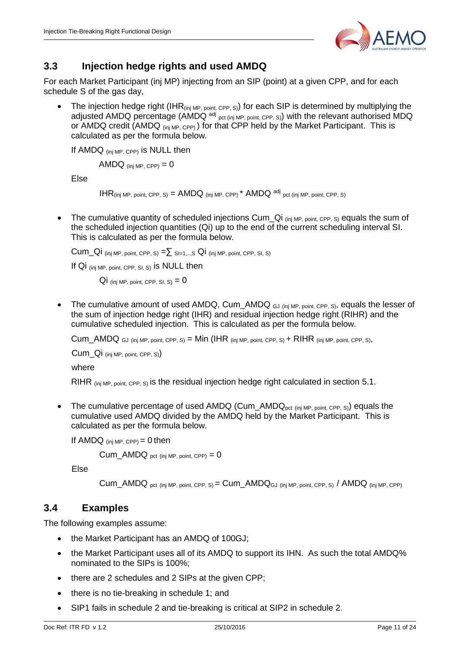

#### <span id="page-10-0"></span>**3.3 Injection hedge rights and used AMDQ**

For each Market Participant (inj MP) injecting from an SIP (point) at a given CPP, and for each schedule S of the gas day.

The injection hedge right (IHR<sub>(inj MP, point, CPP, S)</sub>) for each SIP is determined by multiplying the adjusted AMDQ percentage (AMDQ <sup>adj</sup> <sub>pct (inj MP, point, CPP, S)</sub>) with the relevant authorised MDQ or AMDQ credit (AMDQ (inj MP, CPP)) for that CPP held by the Market Participant. This is calculated as per the formula below.

If AMDQ (inj MP, CPP) is NULL then

AMDQ  $_{(ini MP. CPP)} = 0$ 

Else

 $IHR_{(inj MP, point, CPP, S)} = AMDQ_{(inj MP, CPP)} * AMDQ^{adj}_{pct (inj MP, point, CPP, S)}$ 

• The cumulative quantity of scheduled injections Cum  $Q_i$  (inj MP, point, CPP, S) equals the sum of the scheduled injection quantities (Qi) up to the end of the current scheduling interval SI. This is calculated as per the formula below.

Cum\_Qi (inj MP, point, CPP, S) =  $\Sigma$  SI=1,..,S Qi (inj MP, point, CPP, SI, S)

If Qi (inj MP, point, CPP, SI, S) is NULL then

 $Qi$  (inj MP, point, CPP, SI, S) = 0

• The cumulative amount of used AMDQ, Cum\_AMDQ  $_{GJ (ini MP, point, CPP, S)}$ , equals the lesser of the sum of injection hedge right (IHR) and residual injection hedge right (RIHR) and the cumulative scheduled injection. This is calculated as per the formula below.

 $Cum\_AMDQ$  GJ (inj MP, point, CPP, S) = Min (IHR (inj MP, point, CPP, S) + RIHR (inj MP, point, CPP, S),

 $Cum$  Qi (inj MP, point, CPP, S))

where

RIHR (inj MP, point, CPP, S) is the residual injection hedge right calculated in section 5.1.

• The cumulative percentage of used  $AMDQ$  (Cum\_AMD $Q_{pot (ini MP, point, CPP, S)}$ ) equals the cumulative used AMDQ divided by the AMDQ held by the Market Participant. This is calculated as per the formula below.

If AMDQ  $_{(inj MP, CPP)} = 0$  then

 $Cum\_AMDQ_{pot (ini MP. point. CPP)} = 0$ 

Else

 $Cum\_AMDQ_{pot}$  (inj MP, point, CPP, S) =  $Cum\_AMDQ_{GJ}$  (inj MP, point, CPP, S) /  $AMDQ_{div}$  (inj MP, CPP)

#### <span id="page-10-1"></span>**3.4 Examples**

The following examples assume:

- the Market Participant has an AMDQ of 100GJ:
- the Market Participant uses all of its AMDQ to support its IHN. As such the total AMDQ% nominated to the SIPs is 100%;
- there are 2 schedules and 2 SIPs at the given CPP:
- there is no tie-breaking in schedule 1; and
- SIP1 fails in schedule 2 and tie-breaking is critical at SIP2 in schedule 2.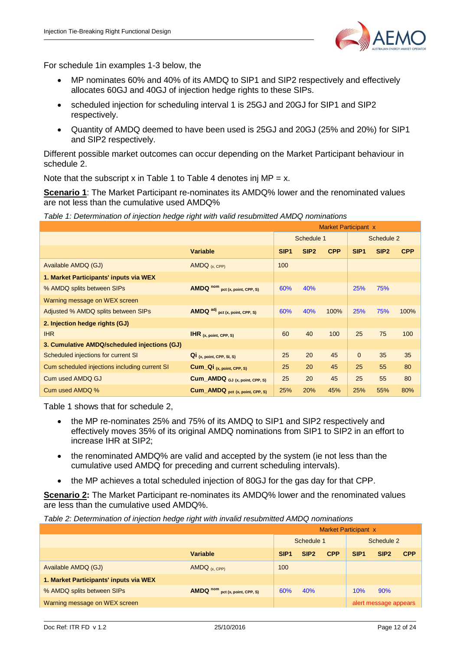

For schedule 1in examples 1-3 below, the

- MP nominates 60% and 40% of its AMDQ to SIP1 and SIP2 respectively and effectively allocates 60GJ and 40GJ of injection hedge rights to these SIPs.
- scheduled injection for scheduling interval 1 is 25GJ and 20GJ for SIP1 and SIP2 respectively.
- Quantity of AMDQ deemed to have been used is 25GJ and 20GJ (25% and 20%) for SIP1 and SIP2 respectively.

Different possible market outcomes can occur depending on the Market Participant behaviour in schedule 2.

Note that the subscript x in Table 1 to Table 4 denotes inj  $MP = x$ .

**Scenario 1**: The Market Participant re-nominates its AMDQ% lower and the renominated values are not less than the cumulative used AMDQ%

*Table 1: Determination of injection hedge right with valid resubmitted AMDQ nominations*

|                                               |                                    | <b>Market Participant x</b> |                  |            |                  |                  |            |
|-----------------------------------------------|------------------------------------|-----------------------------|------------------|------------|------------------|------------------|------------|
|                                               |                                    |                             | Schedule 1       |            | Schedule 2       |                  |            |
|                                               | <b>Variable</b>                    | SIP <sub>1</sub>            | SIP <sub>2</sub> | <b>CPP</b> | SIP <sub>1</sub> | SIP <sub>2</sub> | <b>CPP</b> |
| Available AMDQ (GJ)                           | AMDQ $(x, CPP)$                    | 100                         |                  |            |                  |                  |            |
| 1. Market Participants' inputs via WEX        |                                    |                             |                  |            |                  |                  |            |
| % AMDQ splits between SIPs                    | AMDQ nom<br>pct (x, point, CPP, S) | 60%                         | 40%              |            | 25%              | 75%              |            |
| Warning message on WEX screen                 |                                    |                             |                  |            |                  |                  |            |
| Adjusted % AMDQ splits between SIPs           | AMDQ adj pct (x, point, CPP, S)    | 60%                         | 40%              | 100%       | 25%              | 75%              | 100%       |
| 2. Injection hedge rights (GJ)                |                                    |                             |                  |            |                  |                  |            |
| <b>IHR</b>                                    | $HR_{(x, point, CPP, S)}$          | 60                          | 40               | 100        | 25               | 75               | 100        |
| 3. Cumulative AMDQ/scheduled injections (GJ)  |                                    |                             |                  |            |                  |                  |            |
| Scheduled injections for current SI           | $Qi$ (x, point, CPP, SI, S)        | 25                          | 20               | 45         | $\mathbf{0}$     | 35               | 35         |
| Cum scheduled injections including current SI | Cum_Qi (x, point, CPP, S)          | 25                          | 20               | 45         | 25               | 55               | 80         |
| <b>Cum used AMDQ GJ</b>                       | Cum_AMDQ GJ (x, point, CPP, S)     | 25                          | 20               | 45         | 25               | 55               | 80         |
| Cum used AMDQ %                               | Cum_AMDQ pct (x, point, CPP, S)    | 25%                         | 20%              | 45%        | 25%              | 55%              | 80%        |

Table 1 shows that for schedule 2,

- the MP re-nominates 25% and 75% of its AMDQ to SIP1 and SIP2 respectively and effectively moves 35% of its original AMDQ nominations from SIP1 to SIP2 in an effort to increase IHR at SIP2;
- the renominated AMDQ% are valid and accepted by the system (ie not less than the cumulative used AMDQ for preceding and current scheduling intervals).
- the MP achieves a total scheduled injection of 80GJ for the gas day for that CPP.

**Scenario 2:** The Market Participant re-nominates its AMDQ% lower and the renominated values are less than the cumulative used AMDQ%.

*Table 2: Determination of injection hedge right with invalid resubmitted AMDQ nominations*

|                                        |                                 | Market Participant x |                  |            |                  |                       |            |
|----------------------------------------|---------------------------------|----------------------|------------------|------------|------------------|-----------------------|------------|
|                                        |                                 | Schedule 1           |                  |            | Schedule 2       |                       |            |
|                                        | <b>Variable</b>                 | SIP <sub>1</sub>     | SIP <sub>2</sub> | <b>CPP</b> | SIP <sub>1</sub> | SIP <sub>2</sub>      | <b>CPP</b> |
| Available AMDQ (GJ)                    | AMDQ(x, CPP)                    | 100                  |                  |            |                  |                       |            |
| 1. Market Participants' inputs via WEX |                                 |                      |                  |            |                  |                       |            |
| % AMDQ splits between SIPs             | AMDQ nom pct (x, point, CPP, S) | 60%                  | 40%              |            | 10%              | 90%                   |            |
| Warning message on WEX screen          |                                 |                      |                  |            |                  | alert message appears |            |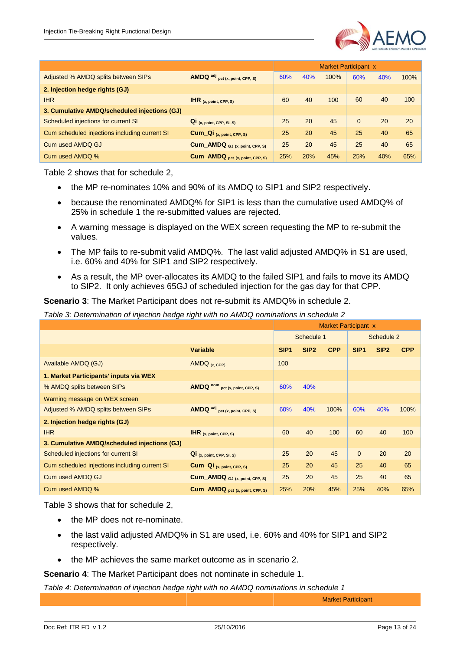

|                                               |                                        |     |     | <b>Market Participant x</b> |          |     |      |
|-----------------------------------------------|----------------------------------------|-----|-----|-----------------------------|----------|-----|------|
| Adjusted % AMDQ splits between SIPs           | <b>AMDQ</b> adj pct (x, point, CPP, S) | 60% | 40% | 100%                        | 60%      | 40% | 100% |
| 2. Injection hedge rights (GJ)                |                                        |     |     |                             |          |     |      |
| <b>IHR</b>                                    | $H$ R $(x, point, CPP, S)$             | 60  | 40  | 100                         | 60       | 40  | 100  |
| 3. Cumulative AMDQ/scheduled injections (GJ)  |                                        |     |     |                             |          |     |      |
| Scheduled injections for current SI           | $Q_i$ (x, point, CPP, SI, S)           | 25  | 20  | 45                          | $\Omega$ | 20  | 20   |
| Cum scheduled injections including current SI | Cum_Qi (x, point, CPP, S)              | 25  | 20  | 45                          | 25       | 40  | 65   |
| Cum used AMDQ GJ                              | Cum_AMDQ GJ (x, point, CPP, S)         | 25  | 20  | 45                          | 25       | 40  | 65   |
| Cum used AMDQ %                               | Cum_AMDQ pct (x, point, CPP, S)        | 25% | 20% | 45%                         | 25%      | 40% | 65%  |

Table 2 shows that for schedule 2,

- the MP re-nominates 10% and 90% of its AMDQ to SIP1 and SIP2 respectively.
- because the renominated AMDQ% for SIP1 is less than the cumulative used AMDQ% of 25% in schedule 1 the re-submitted values are rejected.
- A warning message is displayed on the WEX screen requesting the MP to re-submit the values.
- The MP fails to re-submit valid AMDQ%. The last valid adjusted AMDQ% in S1 are used, i.e. 60% and 40% for SIP1 and SIP2 respectively.
- As a result, the MP over-allocates its AMDQ to the failed SIP1 and fails to move its AMDQ to SIP2. It only achieves 65GJ of scheduled injection for the gas day for that CPP.

**Scenario 3**: The Market Participant does not re-submit its AMDQ% in schedule 2.

*Table 3: Determination of injection hedge right with no AMDQ nominations in schedule 2*

|                                               |                                 | <b>Market Participant x</b> |                  |            |                  |                  |            |
|-----------------------------------------------|---------------------------------|-----------------------------|------------------|------------|------------------|------------------|------------|
|                                               |                                 |                             | Schedule 1       |            | Schedule 2       |                  |            |
|                                               | <b>Variable</b>                 | SIP <sub>1</sub>            | SIP <sub>2</sub> | <b>CPP</b> | SIP <sub>1</sub> | SIP <sub>2</sub> | <b>CPP</b> |
| Available AMDQ (GJ)                           | AMDQ $(x, CPP)$                 | 100                         |                  |            |                  |                  |            |
| 1. Market Participants' inputs via WEX        |                                 |                             |                  |            |                  |                  |            |
| % AMDQ splits between SIPs                    | AMDQ nom pct (x, point, CPP, S) | 60%                         | 40%              |            |                  |                  |            |
| Warning message on WEX screen                 |                                 |                             |                  |            |                  |                  |            |
| Adjusted % AMDQ splits between SIPs           | AMDQ adj pct (x, point, CPP, S) | 60%                         | 40%              | 100%       | 60%              | 40%              | 100%       |
| 2. Injection hedge rights (GJ)                |                                 |                             |                  |            |                  |                  |            |
| <b>IHR</b>                                    | $HR_{(x, point, CPP, S)}$       | 60                          | 40               | 100        | 60               | 40               | 100        |
| 3. Cumulative AMDQ/scheduled injections (GJ)  |                                 |                             |                  |            |                  |                  |            |
| Scheduled injections for current SI           | $Q_i$ (x, point, CPP, SI, S)    | 25                          | 20               | 45         | $\Omega$         | 20               | 20         |
| Cum scheduled injections including current SI | Cum_Qi (x, point, CPP, S)       | 25                          | 20               | 45         | 25               | 40               | 65         |
| Cum used AMDQ GJ                              | Cum_AMDQ GJ (x, point, CPP, S)  | 25                          | 20               | 45         | 25               | 40               | 65         |
| Cum used AMDQ %                               | Cum_AMDQ pct (x, point, CPP, S) | 25%                         | 20%              | 45%        | 25%              | 40%              | 65%        |

Table 3 shows that for schedule 2,

- the MP does not re-nominate.
- the last valid adjusted AMDQ% in S1 are used, i.e. 60% and 40% for SIP1 and SIP2 respectively.
- the MP achieves the same market outcome as in scenario 2.

**Scenario 4**: The Market Participant does not nominate in schedule 1.

*Table 4: Determination of injection hedge right with no AMDQ nominations in schedule 1*

Market Participant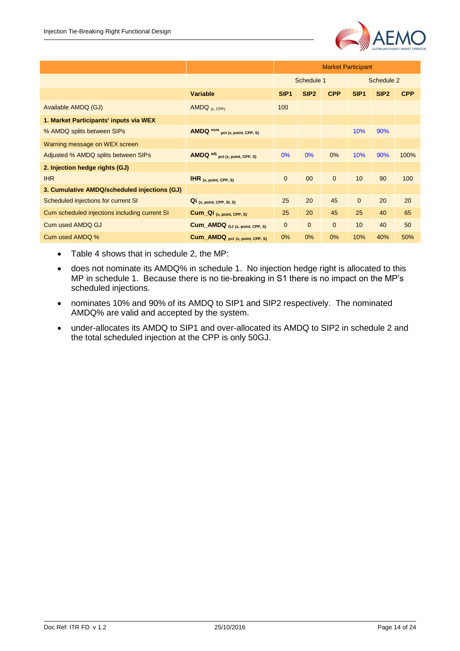

|                                               |                                    | <b>Market Participant</b> |                  |              |                  |                  |            |
|-----------------------------------------------|------------------------------------|---------------------------|------------------|--------------|------------------|------------------|------------|
|                                               |                                    |                           | Schedule 1       |              | Schedule 2       |                  |            |
|                                               | <b>Variable</b>                    | SIP <sub>1</sub>          | SIP <sub>2</sub> | <b>CPP</b>   | SIP <sub>1</sub> | SIP <sub>2</sub> | <b>CPP</b> |
| Available AMDQ (GJ)                           | AMDQ $(x, CPP)$                    | 100                       |                  |              |                  |                  |            |
| 1. Market Participants' inputs via WEX        |                                    |                           |                  |              |                  |                  |            |
| % AMDQ splits between SIPs                    | AMDQ nom<br>pct (x, point, CPP, S) |                           |                  |              | 10%              | 90%              |            |
| Warning message on WEX screen                 |                                    |                           |                  |              |                  |                  |            |
| Adjusted % AMDQ splits between SIPs           | AMDQ adj pct (x, point, CPP, S)    | 0%                        | 0%               | $0\%$        | 10%              | 90%              | 100%       |
| 2. Injection hedge rights (GJ)                |                                    |                           |                  |              |                  |                  |            |
| <b>IHR</b>                                    | $HR_{(x, point, CPP, S)}$          | $\mathbf{0}$              | 00               | $\mathbf{0}$ | 10               | 90               | 100        |
| 3. Cumulative AMDQ/scheduled injections (GJ)  |                                    |                           |                  |              |                  |                  |            |
| Scheduled injections for current SI           | $Q_i$ (x, point, CPP, SI, S)       | 25                        | 20               | 45           | $\mathbf{0}$     | 20               | 20         |
| Cum scheduled injections including current SI | Cum_Qi (x, point, CPP, S)          | 25                        | 20               | 45           | 25               | 40               | 65         |
| Cum used AMDQ GJ                              | Cum_AMDQ GJ (x, point, CPP, S)     | $\mathbf{0}$              | $\mathbf{0}$     | $\mathbf{0}$ | 10 <sup>1</sup>  | 40               | 50         |
| Cum used AMDQ %                               | Cum_AMDQ pct (x, point, CPP, S)    | 0%                        | 0%               | 0%           | 10%              | 40%              | 50%        |

- Table 4 shows that in schedule 2, the MP:
- does not nominate its AMDQ% in schedule 1. No injection hedge right is allocated to this MP in schedule 1. Because there is no tie-breaking in S1 there is no impact on the MP's scheduled injections.
- nominates 10% and 90% of its AMDQ to SIP1 and SIP2 respectively. The nominated AMDQ% are valid and accepted by the system.
- under-allocates its AMDQ to SIP1 and over-allocated its AMDQ to SIP2 in schedule 2 and the total scheduled injection at the CPP is only 50GJ.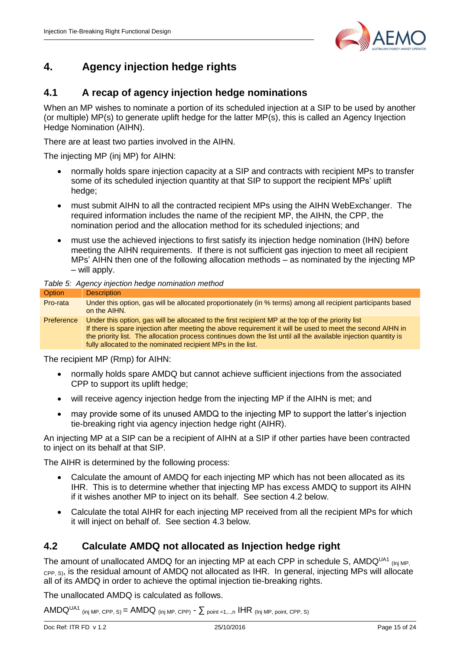

## <span id="page-14-0"></span>**4. Agency injection hedge rights**

#### <span id="page-14-1"></span>**4.1 A recap of agency injection hedge nominations**

When an MP wishes to nominate a portion of its scheduled injection at a SIP to be used by another (or multiple) MP(s) to generate uplift hedge for the latter MP(s), this is called an Agency Injection Hedge Nomination (AIHN).

There are at least two parties involved in the AIHN.

The injecting MP (inj MP) for AIHN:

- normally holds spare injection capacity at a SIP and contracts with recipient MPs to transfer some of its scheduled injection quantity at that SIP to support the recipient MPs' uplift hedge;
- must submit AIHN to all the contracted recipient MPs using the AIHN WebExchanger. The required information includes the name of the recipient MP, the AIHN, the CPP, the nomination period and the allocation method for its scheduled injections; and
- must use the achieved injections to first satisfy its injection hedge nomination (IHN) before meeting the AIHN requirements. If there is not sufficient gas injection to meet all recipient MPs' AIHN then one of the following allocation methods – as nominated by the injecting MP – will apply.

#### *Table 5: Agency injection hedge nomination method*

| <b>Option</b> | <b>Description</b>                                                                                                                                                                                                                                                                                                                                                                                 |
|---------------|----------------------------------------------------------------------------------------------------------------------------------------------------------------------------------------------------------------------------------------------------------------------------------------------------------------------------------------------------------------------------------------------------|
| Pro-rata      | Under this option, gas will be allocated proportionately (in % terms) among all recipient participants based<br>on the AIHN.                                                                                                                                                                                                                                                                       |
| Preference    | Under this option, gas will be allocated to the first recipient MP at the top of the priority list<br>If there is spare injection after meeting the above requirement it will be used to meet the second AIHN in<br>the priority list. The allocation process continues down the list until all the available injection quantity is<br>fully allocated to the nominated recipient MPs in the list. |

The recipient MP (Rmp) for AIHN:

- normally holds spare AMDQ but cannot achieve sufficient injections from the associated CPP to support its uplift hedge;
- will receive agency injection hedge from the injecting MP if the AIHN is met; and
- may provide some of its unused AMDQ to the injecting MP to support the latter's injection tie-breaking right via agency injection hedge right (AIHR).

An injecting MP at a SIP can be a recipient of AIHN at a SIP if other parties have been contracted to inject on its behalf at that SIP.

The AIHR is determined by the following process:

- Calculate the amount of AMDQ for each injecting MP which has not been allocated as its IHR. This is to determine whether that injecting MP has excess AMDQ to support its AIHN if it wishes another MP to inject on its behalf. See section 4.2 below.
- Calculate the total AIHR for each injecting MP received from all the recipient MPs for which it will inject on behalf of. See section 4.3 below.

#### <span id="page-14-2"></span>**4.2 Calculate AMDQ not allocated as Injection hedge right**

The amount of unallocated AMDQ for an injecting MP at each CPP in schedule S, AMDQ<sup>UA1</sup> (Inj MP, c<sub>PP, S)</sub>, is the residual amount of AMDQ not allocated as IHR. In general, injecting MPs will allocate all of its AMDQ in order to achieve the optimal injection tie-breaking rights.

The unallocated AMDQ is calculated as follows.

AMDQ<sup>UA1</sup> (inj MP, CPP, S) = AMDQ (inj MP, CPP)  $\sim \sum$  point =1,..,n IHR (Inj MP, point, CPP, S)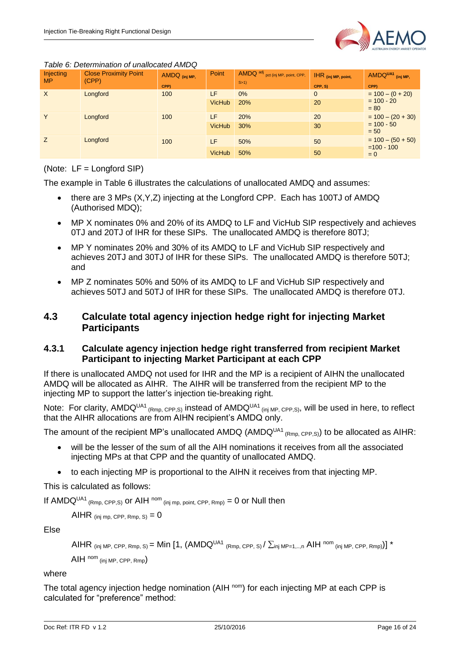

#### *Table 6: Determination of unallocated AMDQ*

| Injecting<br><b>MP</b> | <b>Close Proximity Point</b><br>(CPP) | AMDQ (inj MP,<br>CPP) | Point         | AMDQ adj pct (inj MP, point, CPP,<br>S>1 | $H$ R (inj MP, point,<br>CPP, S) | AMDQUA1 (inj MP,<br>CPP) |  |
|------------------------|---------------------------------------|-----------------------|---------------|------------------------------------------|----------------------------------|--------------------------|--|
| $\sf X$                | Longford                              | 100                   | LF            | $0\%$                                    | $\mathbf 0$                      | $= 100 - (0 + 20)$       |  |
|                        |                                       |                       | <b>VicHub</b> | 20%                                      | 20                               | $= 100 - 20$<br>$= 80$   |  |
| Y                      | Longford                              | 100                   | LF            | 20%                                      | 20                               | $= 100 - (20 + 30)$      |  |
|                        |                                       |                       | <b>VicHub</b> | 30%                                      | 30                               | $= 100 - 50$<br>$= 50$   |  |
| Z                      | Longford                              | 100                   | LF.           | 50%                                      | 50                               | $= 100 - (50 + 50)$      |  |
|                        |                                       |                       | <b>VicHub</b> | 50%                                      | 50                               | $=100 - 100$<br>$= 0$    |  |

#### (Note: LF = Longford SIP)

The example in Table 6 illustrates the calculations of unallocated AMDQ and assumes:

- there are 3 MPs (X, Y, Z) injecting at the Longford CPP. Each has 100TJ of AMDQ (Authorised MDQ);
- MP X nominates 0% and 20% of its AMDQ to LF and VicHub SIP respectively and achieves 0TJ and 20TJ of IHR for these SIPs. The unallocated AMDQ is therefore 80TJ;
- MP Y nominates 20% and 30% of its AMDQ to LF and VicHub SIP respectively and achieves 20TJ and 30TJ of IHR for these SIPs. The unallocated AMDQ is therefore 50TJ; and
- MP Z nominates 50% and 50% of its AMDQ to LF and VicHub SIP respectively and achieves 50TJ and 50TJ of IHR for these SIPs. The unallocated AMDQ is therefore 0TJ.

#### <span id="page-15-0"></span>**4.3 Calculate total agency injection hedge right for injecting Market Participants**

#### <span id="page-15-1"></span>**4.3.1 Calculate agency injection hedge right transferred from recipient Market Participant to injecting Market Participant at each CPP**

If there is unallocated AMDQ not used for IHR and the MP is a recipient of AIHN the unallocated AMDQ will be allocated as AIHR. The AIHR will be transferred from the recipient MP to the injecting MP to support the latter's injection tie-breaking right.

Note: For clarity,  $AMDQ<sup>UA1</sup>$  (Rmp, CPP,S) instead of  $AMDQ<sup>UA1</sup>$  (inj MP, CPP,S), will be used in here, to reflect that the AIHR allocations are from AIHN recipient's AMDQ only.

The amount of the recipient MP's unallocated AMDQ (AMDQ<sup>UA1</sup> (Rmp, CPP,S)</sub>) to be allocated as AIHR:

- will be the lesser of the sum of all the AIH nominations it receives from all the associated injecting MPs at that CPP and the quantity of unallocated AMDQ.
- to each injecting MP is proportional to the AIHN it receives from that injecting MP.

This is calculated as follows:

If AMDQ<sup>UA1</sup> (Rmp, CPP, S) OF AIH <sup>nom</sup> (inj mp, point, CPP, Rmp) = 0 or Null then

AIHR (inj mp, CPP, Rmp, S)  $= 0$ 

Else

```
AIHR (inj MP, CPP, Rmp, S) = Min [1, (AMDQ<sup>UA1</sup> (Rmp, CPP, S) \sum_{i} MP=1,..,n AIH <sup>nom</sup> (inj MP, CPP, Rmp))] *
```
AIH nom (inj MP, CPP, Rmp)

#### where

The total agency injection hedge nomination (AIH <sup>nom</sup>) for each injecting MP at each CPP is calculated for "preference" method: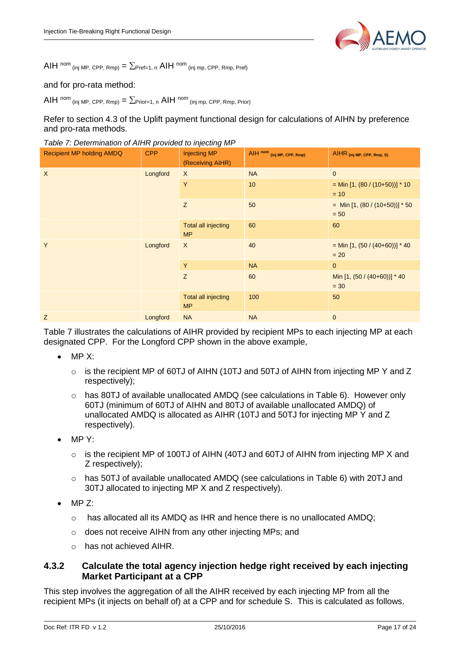

AIH nom (inj MP, CPP, Rmp) =  $\sum$ Pref=1, n AIH nom (inj mp, CPP, Rmp, Pref)

#### and for pro-rata method:

AIH nom  $_{\text{(inj MP, CPP, Rmp)}} = \sum_{\text{Prior}=1, n} \text{AIH}^{\text{nom}}$  (inj mp, CPP, Rmp, Prior)

Refer to section 4.3 of the Uplift payment functional design for calculations of AIHN by preference and pro-rata methods.

*Table 7: Determination of AIHR provided to injecting MP*

| <b>Recipient MP holding AMDQ</b> | <b>CPP</b> | <b>Injecting MP</b><br>(Receiving AIHR) | AIH nom (inj MP, CPP, Rmp) | AIHR (inj MP, CPP, Rmp, S)                  |  |
|----------------------------------|------------|-----------------------------------------|----------------------------|---------------------------------------------|--|
| $\sf X$                          | Longford   | $\boldsymbol{\mathsf{X}}$               | <b>NA</b>                  | $\mathbf{0}$                                |  |
|                                  |            | Y                                       | 10                         | = Min [1, $(80 / (10+50))$ ] * 10<br>$= 10$ |  |
|                                  |            | Z                                       | 50                         | = Min [1, $(80 / (10+50))]$ * 50<br>$= 50$  |  |
|                                  |            | <b>Total all injecting</b><br><b>MP</b> | 60                         | 60                                          |  |
| Y                                | Longford   | X                                       | 40                         | $=$ Min [1, (50 / (40+60))] * 40<br>$= 20$  |  |
|                                  |            | Y                                       | <b>NA</b>                  | $\mathbf{0}$                                |  |
|                                  |            | Z                                       | 60                         | Min [1, (50 / (40+60))] * 40<br>$= 30$      |  |
|                                  |            | Total all injecting<br><b>MP</b>        | 100                        | 50                                          |  |
| Z                                | Longford   | <b>NA</b>                               | <b>NA</b>                  | $\theta$                                    |  |

Table 7 illustrates the calculations of AIHR provided by recipient MPs to each injecting MP at each designated CPP. For the Longford CPP shown in the above example,

- MP X:
	- $\circ$  is the recipient MP of 60TJ of AIHN (10TJ and 50TJ of AIHN from injecting MP Y and Z respectively);
	- $\circ$  has 80TJ of available unallocated AMDQ (see calculations in Table 6). However only 60TJ (minimum of 60TJ of AIHN and 80TJ of available unallocated AMDQ) of unallocated AMDQ is allocated as AIHR (10TJ and 50TJ for injecting MP Y and Z respectively).
- $\bullet$  MP Y:
	- o is the recipient MP of 100TJ of AIHN (40TJ and 60TJ of AIHN from injecting MP X and Z respectively);
	- o has 50TJ of available unallocated AMDQ (see calculations in Table 6) with 20TJ and 30TJ allocated to injecting MP X and Z respectively).
- MP Z:
	- $\circ$  has allocated all its AMDQ as IHR and hence there is no unallocated AMDQ;
	- o does not receive AIHN from any other injecting MPs; and
	- o has not achieved AIHR.

#### <span id="page-16-0"></span>**4.3.2 Calculate the total agency injection hedge right received by each injecting Market Participant at a CPP**

This step involves the aggregation of all the AIHR received by each injecting MP from all the recipient MPs (it injects on behalf of) at a CPP and for schedule S. This is calculated as follows.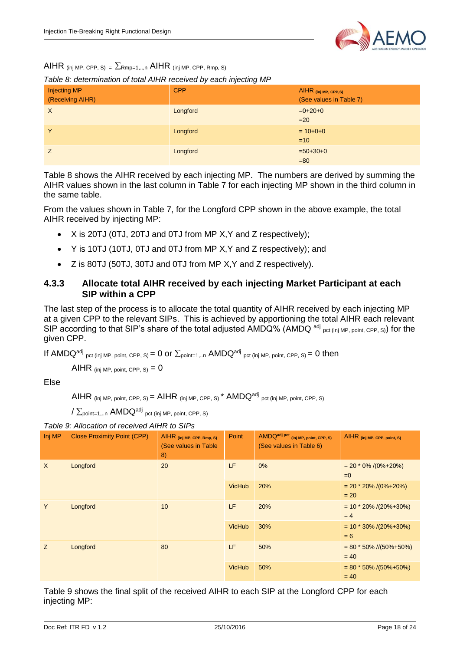

AIHR (inj MP, CPP, S) =  $\Sigma$ Rmp=1,..,n AIHR (inj MP, CPP, Rmp, S)

*Table 8: determination of total AIHR received by each injecting MP*

| <b>Injecting MP</b><br>(Receiving AIHR) | <b>CPP</b> | AIHR (inj MP, CPP,S)<br>(See values in Table 7) |
|-----------------------------------------|------------|-------------------------------------------------|
| $\times$                                | Longford   | $=0+20+0$<br>$=20$                              |
| Y                                       | Longford   | $= 10+0+0$<br>$=10$                             |
|                                         | Longford   | $=50+30+0$<br>$=80$                             |

Table 8 shows the AIHR received by each injecting MP. The numbers are derived by summing the AIHR values shown in the last column in Table 7 for each injecting MP shown in the third column in the same table.

From the values shown in Table 7, for the Longford CPP shown in the above example, the total AIHR received by injecting MP:

- X is 20TJ (0TJ, 20TJ and 0TJ from MP X,Y and Z respectively);
- Y is 10TJ (10TJ, 0TJ and 0TJ from MP X,Y and Z respectively); and
- Z is 80TJ (50TJ, 30TJ and 0TJ from MP X,Y and Z respectively).

#### <span id="page-17-0"></span>**4.3.3 Allocate total AIHR received by each injecting Market Participant at each SIP within a CPP**

The last step of the process is to allocate the total quantity of AIHR received by each injecting MP at a given CPP to the relevant SIPs. This is achieved by apportioning the total AIHR each relevant SIP according to that SIP's share of the total adjusted AMDQ% (AMDQ <sup>adj</sup> pct (inj MP, point, CPP, S)) for the given CPP.

If AMDQ<sup>adj</sup> pct (inj MP, point, CPP, S) = 0 or  $\Sigma_{\text{point=1,..n}}$  AMDQ<sup>adj</sup> pct (inj MP, point, CPP, S) = 0 then

AIHR (inj MP, point, CPP,  $s_0 = 0$ 

Else

AIHR (inj MP, point, CPP, S) =  $AHR$  (inj MP, CPP, S)<sup>\*</sup>  $AMDQ^{adj}$  pct (inj MP, point, CPP, S)

 $\sqrt{\sum_{\rm point=1,...n}}$   $\sf AMDQ^{adj}$  <sub>pct (inj MP, point, CPP, S)</sub>

| Table 9: Allocation of received AIHR to SIPs |
|----------------------------------------------|
|----------------------------------------------|

| Inj MP        | <b>Close Proximity Point (CPP)</b> | AIHR (inj MP, CPP, Rmp, S)<br>(See values in Table<br>8) | Point         | AMDQ <sup>adj pct</sup> (inj MP, point, CPP, S)<br>(See values in Table 6) | AIHR (inj MP, CPP, point, S)            |
|---------------|------------------------------------|----------------------------------------------------------|---------------|----------------------------------------------------------------------------|-----------------------------------------|
| $\sf X$       | Longford                           | 20                                                       | LF            | 0%                                                                         | $= 20 * 0\% / (0\% + 20\%)$<br>$= 0$    |
|               |                                    | <b>VicHub</b>                                            | 20%           | $= 20 * 20\% / (0\% + 20\%)$<br>$= 20$                                     |                                         |
| Y<br>Longford |                                    | 10                                                       | LF.           | 20%                                                                        | $= 10 * 20\% / (20\% + 30\%)$<br>$= 4$  |
|               |                                    | <b>VicHub</b>                                            | 30%           | $= 10 * 30\% / (20\% + 30\%)$<br>$= 6$                                     |                                         |
| Z             | Longford                           | 80                                                       | LF            | 50%                                                                        | $= 80 * 50\%$ //(50%+50%)<br>$= 40$     |
|               |                                    |                                                          | <b>VicHub</b> | 50%                                                                        | $= 80 * 50\% / (50\% + 50\%)$<br>$= 40$ |

Table 9 shows the final split of the received AIHR to each SIP at the Longford CPP for each injecting MP: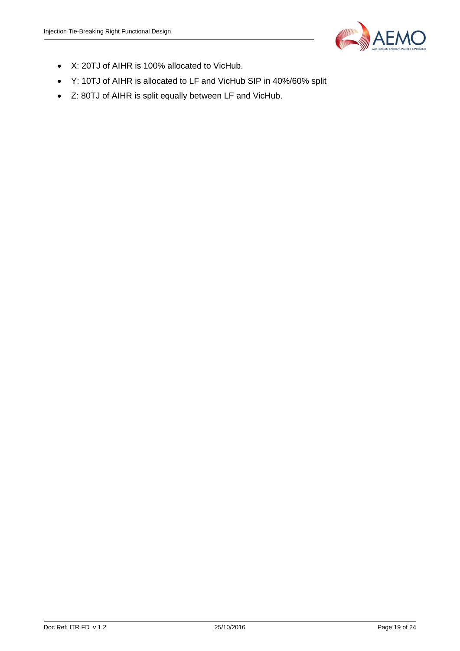

- X: 20TJ of AIHR is 100% allocated to VicHub.
- Y: 10TJ of AIHR is allocated to LF and VicHub SIP in 40%/60% split
- Z: 80TJ of AIHR is split equally between LF and VicHub.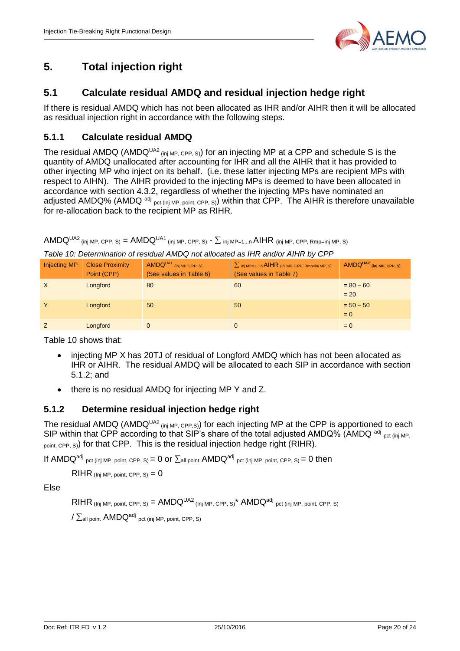

### <span id="page-19-0"></span>**5. Total injection right**

#### <span id="page-19-1"></span>**5.1 Calculate residual AMDQ and residual injection hedge right**

If there is residual AMDQ which has not been allocated as IHR and/or AIHR then it will be allocated as residual injection right in accordance with the following steps.

#### <span id="page-19-2"></span>**5.1.1 Calculate residual AMDQ**

The residual AMDQ (AMDQ<sup>UA2</sup> (inj MP, CPP, S)) for an injecting MP at a CPP and schedule S is the quantity of AMDQ unallocated after accounting for IHR and all the AIHR that it has provided to other injecting MP who inject on its behalf. (i.e. these latter injecting MPs are recipient MPs with respect to AIHN). The AIHR provided to the injecting MPs is deemed to have been allocated in accordance with section 4.3.2, regardless of whether the injecting MPs have nominated an adjusted AMDQ% (AMDQ <sup>adj</sup> pct (inj MP, point, CPP, S)) within that CPP. The AIHR is therefore unavailable for re-allocation back to the recipient MP as RIHR.

AMDQ<sup>UA2</sup> (inj MP, CPP, S) = AMDQ<sup>UA1</sup> (inj MP, CPP, S)  $\sim \sum$  inj MP=1,..n AIHR (inj MP, CPP, Rmp=inj MP, S)

| <b>Injecting MP</b> | <b>Close Proximity</b><br>Point (CPP) | AMDQUA1 (inj MP, CPP, S)<br>(See values in Table 6) | $\sum_{i}$ <sub>inj MP=1,,n</sub> AIHR (inj MP, CPP, Rmp=inj MP, S)<br>(See values in Table 7) | AMDQUA2 (inj MP, CPP, S) |
|---------------------|---------------------------------------|-----------------------------------------------------|------------------------------------------------------------------------------------------------|--------------------------|
| $\mathsf{X}$        | Longford                              | 80                                                  | 60                                                                                             | $= 80 - 60$<br>$= 20$    |
| Υ                   | Longford                              | 50                                                  | 50                                                                                             | $= 50 - 50$<br>$= 0$     |
|                     | Longford                              | 0                                                   |                                                                                                | $= 0$                    |

*Table 10: Determination of residual AMDQ not allocated as IHR and/or AIHR by CPP*

Table 10 shows that:

- injecting MP X has 20TJ of residual of Longford AMDQ which has not been allocated as IHR or AIHR. The residual AMDQ will be allocated to each SIP in accordance with section 5.1.2; and
- there is no residual AMDQ for injecting MP Y and Z.

#### <span id="page-19-3"></span>**5.1.2 Determine residual injection hedge right**

The residual AMDQ (AMDQ<sup>UA2</sup> (inj MP, CPP,S)) for each injecting MP at the CPP is apportioned to each SIP within that CPP according to that SIP's share of the total adjusted AMDQ% (AMDQ adj pct (inj MP,  $_{point, CPP, S}$ ) for that CPP. This is the residual injection hedge right (RIHR).

If AMDQ<sup>adj</sup> pct (inj MP, point, CPP, S) = 0 or  $\Sigma$ all point AMDQ<sup>adj</sup> pct (inj MP, point, CPP, S) = 0 then

 $RIHR$  (Inj MP, point, CPP, S) =  $0$ 

Else

 $RIHR$  (Inj MP, point, CPP, S) =  $AMDQ^{UA2}$  (Inj MP, CPP, S)<sup>\*</sup>  $AMDQ^{adj}$  pct (inj MP, point, CPP, S)

 $\sqrt{\sum_{\mathsf{all\ point}}\ \mathsf{AMDQ}^{\mathsf{adj}}}$  pct (inj MP, point, CPP, S)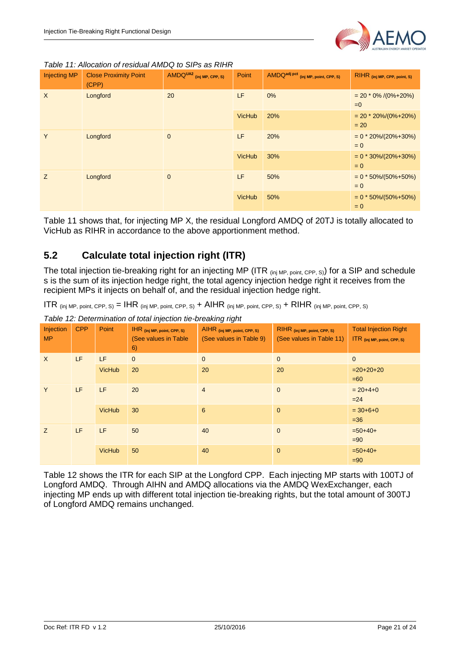

*Table 11: Allocation of residual AMDQ to SIPs as RIHR*

| <b>Injecting MP</b>  | <b>Close Proximity Point</b><br>(CPP) | AMDQUA2 (inj MP, CPP, S) | Point         | AMDQ <sup>adj pct</sup> (inj MP, point, CPP, S) | RIHR (inj MP, CPP, point, S)         |
|----------------------|---------------------------------------|--------------------------|---------------|-------------------------------------------------|--------------------------------------|
| $\times$<br>Longford |                                       | 20                       | LF.           | 0%                                              | $= 20 * 0\% / (0\% + 20\%)$<br>$= 0$ |
|                      |                                       |                          | <b>VicHub</b> | 20%                                             | $= 20 * 20\%/0\% + 20\%)$<br>$= 20$  |
| Y                    | Longford                              | $\mathbf 0$              | LF.           | 20%                                             | $= 0 * 20\%/20\% + 30\%)$<br>$= 0$   |
|                      |                                       |                          | <b>VicHub</b> | 30%                                             | $= 0 * 30\%/20\% + 30\%)$<br>$= 0$   |
| Z                    | Longford                              | $\mathbf{0}$             | LF.           | 50%                                             | $= 0 * 50\%/50\% + 50\%)$<br>$= 0$   |
|                      |                                       |                          | <b>VicHub</b> | 50%                                             | $= 0 * 50\%/50\% + 50\%)$<br>$= 0$   |

Table 11 shows that, for injecting MP X, the residual Longford AMDQ of 20TJ is totally allocated to VicHub as RIHR in accordance to the above apportionment method.

#### <span id="page-20-0"></span>**5.2 Calculate total injection right (ITR)**

The total injection tie-breaking right for an injecting MP (ITR (inj MP, point, CPP, S)) for a SIP and schedule s is the sum of its injection hedge right, the total agency injection hedge right it receives from the recipient MPs it injects on behalf of, and the residual injection hedge right.

ITR  $_{\rm (ini MP, point, CPP, S)} = IHR_{\rm (ini MP, point, CPP, S)} + AIHR_{\rm (ini MP, point, CPP, S)} + RIHR_{\rm (ini MP, point, CPP, S)}$ 

*Table 12: Determination of total injection tie-breaking right*

|                        |            |               | .                                                         | ິ                                                       |                                                          |                                                             |
|------------------------|------------|---------------|-----------------------------------------------------------|---------------------------------------------------------|----------------------------------------------------------|-------------------------------------------------------------|
| Injection<br><b>MP</b> | <b>CPP</b> | Point         | IHR (inj MP, point, CPP, S)<br>(See values in Table<br>6) | AIHR (inj MP, point, CPP, S)<br>(See values in Table 9) | RIHR (inj MP, point, CPP, S)<br>(See values in Table 11) | <b>Total Injection Right</b><br>ITR (inj MP, point, CPP, S) |
| $\mathsf{X}$           | LF         | LF            | $\overline{0}$                                            | $\mathbf{0}$                                            | $\mathbf{0}$                                             | $\mathbf{0}$                                                |
|                        |            | <b>VicHub</b> | 20                                                        | 20                                                      | 20                                                       | $=20+20+20$<br>$=60$                                        |
| LF.<br>Y               | LF         | 20            | $\overline{4}$                                            | $\mathbf{0}$                                            | $= 20 + 4 + 0$<br>$=24$                                  |                                                             |
|                        |            | <b>VicHub</b> | 30                                                        | 6                                                       | $\mathbf{0}$                                             | $= 30 + 6 + 0$<br>$=36$                                     |
| LF<br>Z                |            | LF            | 50                                                        | 40                                                      | $\mathbf{0}$                                             | $=50+40+$<br>$=90$                                          |
|                        |            | <b>VicHub</b> | 50                                                        | 40                                                      | $\mathbf 0$                                              | $=50+40+$<br>$= 90$                                         |

Table 12 shows the ITR for each SIP at the Longford CPP. Each injecting MP starts with 100TJ of Longford AMDQ. Through AIHN and AMDQ allocations via the AMDQ WexExchanger, each injecting MP ends up with different total injection tie-breaking rights, but the total amount of 300TJ of Longford AMDQ remains unchanged.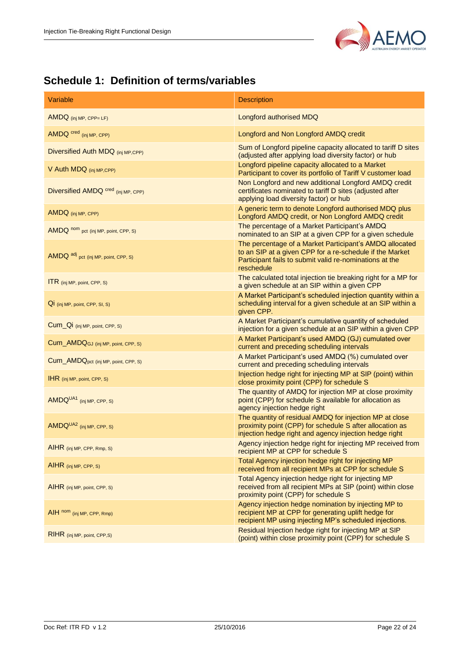

### <span id="page-21-0"></span>**Schedule 1: Definition of terms/variables**

| Variable                                        | <b>Description</b>                                                                                                                                                                           |
|-------------------------------------------------|----------------------------------------------------------------------------------------------------------------------------------------------------------------------------------------------|
| $AMDQ$ (inj MP, CPP= LF)                        | Longford authorised MDQ                                                                                                                                                                      |
| AMDQ cred (inj MP, CPP)                         | Longford and Non Longford AMDQ credit                                                                                                                                                        |
| Diversified Auth MDQ (inj MP,CPP)               | Sum of Longford pipeline capacity allocated to tariff D sites<br>(adjusted after applying load diversity factor) or hub                                                                      |
| V Auth MDQ (inj MP, CPP)                        | Longford pipeline capacity allocated to a Market<br>Participant to cover its portfolio of Tariff V customer load                                                                             |
| Diversified AMDQ Cred (inj MP, CPP)             | Non Longford and new additional Longford AMDQ credit<br>certificates nominated to tariff D sites (adjusted after<br>applying load diversity factor) or hub                                   |
| AMDQ (inj MP, CPP)                              | A generic term to denote Longford authorised MDQ plus<br>Longford AMDQ credit, or Non Longford AMDQ credit                                                                                   |
| AMDQ nom pct (inj MP, point, CPP, S)            | The percentage of a Market Participant's AMDQ<br>nominated to an SIP at a given CPP for a given schedule                                                                                     |
| AMDQ adj pct (inj MP, point, CPP, S)            | The percentage of a Market Participant's AMDQ allocated<br>to an SIP at a given CPP for a re-schedule if the Market<br>Participant fails to submit valid re-nominations at the<br>reschedule |
| <b>ITR</b> (inj MP, point, CPP, S)              | The calculated total injection tie breaking right for a MP for<br>a given schedule at an SIP within a given CPP                                                                              |
| QI (inj MP, point, CPP, SI, S)                  | A Market Participant's scheduled injection quantity within a<br>scheduling interval for a given schedule at an SIP within a<br>given CPP.                                                    |
| Cum_Qi (inj MP, point, CPP, S)                  | A Market Participant's cumulative quantity of scheduled<br>injection for a given schedule at an SIP within a given CPP                                                                       |
| Cum_AMDQGJ (inj MP, point, CPP, S)              | A Market Participant's used AMDQ (GJ) cumulated over<br>current and preceding scheduling intervals                                                                                           |
| Cum_AMDQ <sub>pct</sub> (inj MP, point, CPP, S) | A Market Participant's used AMDQ (%) cumulated over<br>current and preceding scheduling intervals                                                                                            |
| $IHR$ (inj MP, point, CPP, S)                   | Injection hedge right for injecting MP at SIP (point) within<br>close proximity point (CPP) for schedule S                                                                                   |
| AMDQUA1 (inj MP, CPP, S)                        | The quantity of AMDQ for injection MP at close proximity<br>point (CPP) for schedule S available for allocation as<br>agency injection hedge right                                           |
| AMDQUA2 (inj MP, CPP, S)                        | The quantity of residual AMDQ for injection MP at close<br>proximity point (CPP) for schedule S after allocation as<br>injection hedge right and agency injection hedge right                |
| AIHR (inj MP, CPP, Rmp, S)                      | Agency injection hedge right for injecting MP received from<br>recipient MP at CPP for schedule S                                                                                            |
| $AHR$ (inj MP, CPP, S)                          | Total Agency injection hedge right for injecting MP<br>received from all recipient MPs at CPP for schedule S                                                                                 |
| AIHR (inj MP, point, CPP, S)                    | Total Agency injection hedge right for injecting MP<br>received from all recipient MPs at SIP (point) within close<br>proximity point (CPP) for schedule S                                   |
| AIH nom (inj MP, CPP, Rmp)                      | Agency injection hedge nomination by injecting MP to<br>recipient MP at CPP for generating uplift hedge for<br>recipient MP using injecting MP's scheduled injections.                       |
| RIHR (inj MP, point, CPP,S)                     | Residual Injection hedge right for injecting MP at SIP<br>(point) within close proximity point (CPP) for schedule S                                                                          |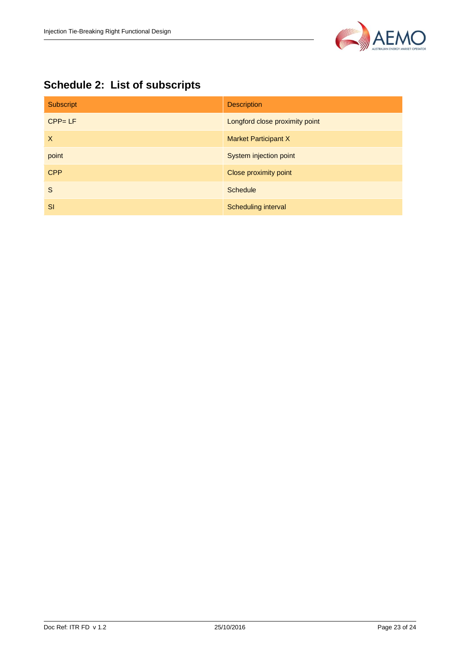

## <span id="page-22-0"></span>**Schedule 2: List of subscripts**

| Subscript  | <b>Description</b>             |
|------------|--------------------------------|
| $CPP = LF$ | Longford close proximity point |
| X          | <b>Market Participant X</b>    |
| point      | System injection point         |
| <b>CPP</b> | Close proximity point          |
| S          | <b>Schedule</b>                |
| <b>SI</b>  | Scheduling interval            |